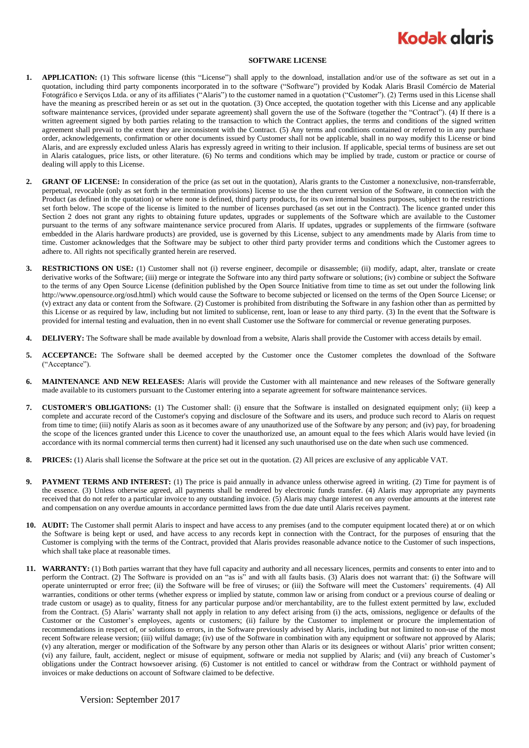## **Kodak glaris**

## **SOFTWARE LICENSE**

- **1. APPLICATION:** (1) This software license (this "License") shall apply to the download, installation and/or use of the software as set out in a quotation, including third party components incorporated in to the software ("Software") provided by Kodak Alaris Brasil Comércio de Material Fotográfico e Serviços Ltda. or any of its affiliates ("Alaris") to the customer named in a quotation ("Customer"). (2) Terms used in this License shall have the meaning as prescribed herein or as set out in the quotation. (3) Once accepted, the quotation together with this License and any applicable software maintenance services, (provided under separate agreement) shall govern the use of the Software (together the "Contract"). (4) If there is a written agreement signed by both parties relating to the transaction to which the Contract applies, the terms and conditions of the signed written agreement shall prevail to the extent they are inconsistent with the Contract. (5) Any terms and conditions contained or referred to in any purchase order, acknowledgements, confirmation or other documents issued by Customer shall not be applicable, shall in no way modify this License or bind Alaris, and are expressly excluded unless Alaris has expressly agreed in writing to their inclusion. If applicable, special terms of business are set out in Alaris catalogues, price lists, or other literature. (6) No terms and conditions which may be implied by trade, custom or practice or course of dealing will apply to this License.
- **2. GRANT OF LICENSE:** In consideration of the price (as set out in the quotation), Alaris grants to the Customer a nonexclusive, non-transferrable, perpetual, revocable (only as set forth in the termination provisions) license to use the then current version of the Software, in connection with the Product (as defined in the quotation) or where none is defined, third party products, for its own internal business purposes, subject to the restrictions set forth below. The scope of the license is limited to the number of licenses purchased (as set out in the Contract). The licence granted under this Section 2 does not grant any rights to obtaining future updates, upgrades or supplements of the Software which are available to the Customer pursuant to the terms of any software maintenance service procured from Alaris. If updates, upgrades or supplements of the firmware (software embedded in the Alaris hardware products) are provided, use is governed by this License, subject to any amendments made by Alaris from time to time. Customer acknowledges that the Software may be subject to other third party provider terms and conditions which the Customer agrees to adhere to. All rights not specifically granted herein are reserved.
- **3. RESTRICTIONS ON USE:** (1) Customer shall not (i) reverse engineer, decompile or disassemble; (ii) modify, adapt, alter, translate or create derivative works of the Software; (iii) merge or integrate the Software into any third party software or solutions; (iv) combine or subject the Software to the terms of any Open Source License (definition published by the Open Source Initiative from time to time as set out under the following link http://www.opensource.org/osd.html) which would cause the Software to become subjected or licensed on the terms of the Open Source License; or (v) extract any data or content from the Software. (2) Customer is prohibited from distributing the Software in any fashion other than as permitted by this License or as required by law, including but not limited to sublicense, rent, loan or lease to any third party. (3) In the event that the Software is provided for internal testing and evaluation, then in no event shall Customer use the Software for commercial or revenue generating purposes.
- **4. DELIVERY:** The Software shall be made available by download from a website, Alaris shall provide the Customer with access details by email.
- **5. ACCEPTANCE:** The Software shall be deemed accepted by the Customer once the Customer completes the download of the Software ("Acceptance").
- **6. MAINTENANCE AND NEW RELEASES:** Alaris will provide the Customer with all maintenance and new releases of the Software generally made available to its customers pursuant to the Customer entering into a separate agreement for software maintenance services.
- **7. CUSTOMER'S OBLIGATIONS:** (1) The Customer shall: (i) ensure that the Software is installed on designated equipment only; (ii) keep a complete and accurate record of the Customer's copying and disclosure of the Software and its users, and produce such record to Alaris on request from time to time; (iii) notify Alaris as soon as it becomes aware of any unauthorized use of the Software by any person; and (iv) pay, for broadening the scope of the licences granted under this Licence to cover the unauthorized use, an amount equal to the fees which Alaris would have levied (in accordance with its normal commercial terms then current) had it licensed any such unauthorised use on the date when such use commenced.
- **8. PRICES:** (1) Alaris shall license the Software at the price set out in the quotation. (2) All prices are exclusive of any applicable VAT.
- **9. PAYMENT TERMS AND INTEREST:** (1) The price is paid annually in advance unless otherwise agreed in writing. (2) Time for payment is of the essence. (3) Unless otherwise agreed, all payments shall be rendered by electronic funds transfer. (4) Alaris may appropriate any payments received that do not refer to a particular invoice to any outstanding invoice. (5) Alaris may charge interest on any overdue amounts at the interest rate and compensation on any overdue amounts in accordance permitted laws from the due date until Alaris receives payment.
- **10. AUDIT:** The Customer shall permit Alaris to inspect and have access to any premises (and to the computer equipment located there) at or on which the Software is being kept or used, and have access to any records kept in connection with the Contract, for the purposes of ensuring that the Customer is complying with the terms of the Contract, provided that Alaris provides reasonable advance notice to the Customer of such inspections, which shall take place at reasonable times.
- **11. WARRANTY:** (1) Both parties warrant that they have full capacity and authority and all necessary licences, permits and consents to enter into and to perform the Contract. (2) The Software is provided on an "as is" and with all faults basis. (3) Alaris does not warrant that: (i) the Software will operate uninterrupted or error free; (ii) the Software will be free of viruses; or (iii) the Software will meet the Customers' requirements. (4) All warranties, conditions or other terms (whether express or implied by statute, common law or arising from conduct or a previous course of dealing or trade custom or usage) as to quality, fitness for any particular purpose and/or merchantability, are to the fullest extent permitted by law, excluded from the Contract. (5) Alaris' warranty shall not apply in relation to any defect arising from (i) the acts, omissions, negligence or defaults of the Customer or the Customer's employees, agents or customers; (ii) failure by the Customer to implement or procure the implementation of recommendations in respect of, or solutions to errors, in the Software previously advised by Alaris, including but not limited to non-use of the most recent Software release version; (iii) wilful damage; (iv) use of the Software in combination with any equipment or software not approved by Alaris; (v) any alteration, merger or modification of the Software by any person other than Alaris or its designees or without Alaris' prior written consent; (vi) any failure, fault, accident, neglect or misuse of equipment, software or media not supplied by Alaris; and (vii) any breach of Customer's obligations under the Contract howsoever arising. (6) Customer is not entitled to cancel or withdraw from the Contract or withhold payment of invoices or make deductions on account of Software claimed to be defective.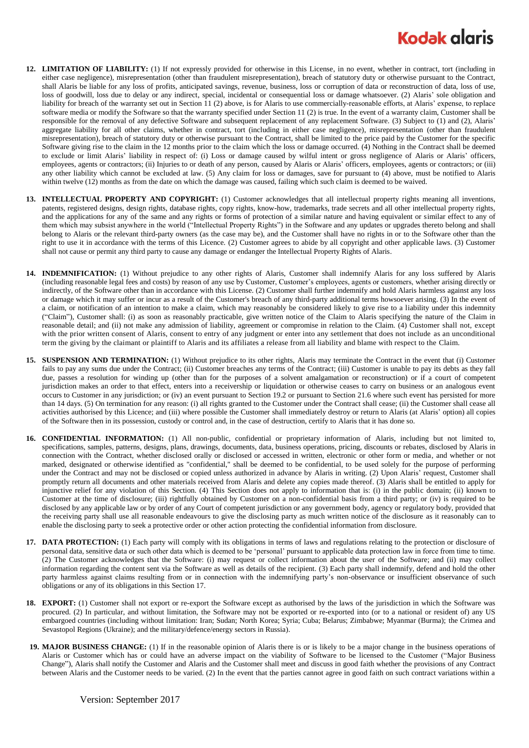## **Kodak glaris**

- **12. LIMITATION OF LIABILITY:** (1) If not expressly provided for otherwise in this License, in no event, whether in contract, tort (including in either case negligence), misrepresentation (other than fraudulent misrepresentation), breach of statutory duty or otherwise pursuant to the Contract, shall Alaris be liable for any loss of profits, anticipated savings, revenue, business, loss or corruption of data or reconstruction of data, loss of use, loss of goodwill, loss due to delay or any indirect, special, incidental or consequential loss or damage whatsoever. (2) Alaris' sole obligation and liability for breach of the warranty set out in Section 11 (2) above, is for Alaris to use commercially-reasonable efforts, at Alaris' expense, to replace software media or modify the Software so that the warranty specified under Section 11 (2) is true. In the event of a warranty claim, Customer shall be responsible for the removal of any defective Software and subsequent replacement of any replacement Software. (3) Subject to (1) and (2), Alaris' aggregate liability for all other claims, whether in contract, tort (including in either case negligence), misrepresentation (other than fraudulent misrepresentation), breach of statutory duty or otherwise pursuant to the Contract, shall be limited to the price paid by the Customer for the specific Software giving rise to the claim in the 12 months prior to the claim which the loss or damage occurred. (4) Nothing in the Contract shall be deemed to exclude or limit Alaris' liability in respect of: (i) Loss or damage caused by wilful intent or gross negligence of Alaris or Alaris' officers, employees, agents or contractors; (ii) Injuries to or death of any person, caused by Alaris or Alaris' officers, employees, agents or contractors; or (iii) any other liability which cannot be excluded at law. (5) Any claim for loss or damages, save for pursuant to (4) above, must be notified to Alaris within twelve (12) months as from the date on which the damage was caused, failing which such claim is deemed to be waived.
- **13. INTELLECTUAL PROPERTY AND COPYRIGHT:** (1) Customer acknowledges that all intellectual property rights meaning all inventions, patents, registered designs, design rights, database rights, copy rights, know-how, trademarks, trade secrets and all other intellectual property rights, and the applications for any of the same and any rights or forms of protection of a similar nature and having equivalent or similar effect to any of them which may subsist anywhere in the world ("Intellectual Property Rights") in the Software and any updates or upgrades thereto belong and shall belong to Alaris or the relevant third-party owners (as the case may be), and the Customer shall have no rights in or to the Software other than the right to use it in accordance with the terms of this Licence. (2) Customer agrees to abide by all copyright and other applicable laws. (3) Customer shall not cause or permit any third party to cause any damage or endanger the Intellectual Property Rights of Alaris.
- **14. INDEMNIFICATION:** (1) Without prejudice to any other rights of Alaris, Customer shall indemnify Alaris for any loss suffered by Alaris (including reasonable legal fees and costs) by reason of any use by Customer, Customer's employees, agents or customers, whether arising directly or indirectly, of the Software other than in accordance with this License. (2) Customer shall further indemnify and hold Alaris harmless against any loss or damage which it may suffer or incur as a result of the Customer's breach of any third-party additional terms howsoever arising. (3) In the event of a claim, or notification of an intention to make a claim, which may reasonably be considered likely to give rise to a liability under this indemnity ("Claim"), Customer shall: (i) as soon as reasonably practicable, give written notice of the Claim to Alaris specifying the nature of the Claim in reasonable detail; and (ii) not make any admission of liability, agreement or compromise in relation to the Claim. (4) Customer shall not, except with the prior written consent of Alaris, consent to entry of any judgment or enter into any settlement that does not include as an unconditional term the giving by the claimant or plaintiff to Alaris and its affiliates a release from all liability and blame with respect to the Claim.
- **15. SUSPENSION AND TERMINATION:** (1) Without prejudice to its other rights, Alaris may terminate the Contract in the event that (i) Customer fails to pay any sums due under the Contract; (ii) Customer breaches any terms of the Contract; (iii) Customer is unable to pay its debts as they fall due, passes a resolution for winding up (other than for the purposes of a solvent amalgamation or reconstruction) or if a court of competent jurisdiction makes an order to that effect, enters into a receivership or liquidation or otherwise ceases to carry on business or an analogous event occurs to Customer in any jurisdiction; or (iv) an event pursuant to Section 19.2 or pursuant to Section 21.6 where such event has persisted for more than 14 days. (5) On termination for any reason: (i) all rights granted to the Customer under the Contract shall cease; (ii) the Customer shall cease all activities authorised by this Licence; and (iii) where possible the Customer shall immediately destroy or return to Alaris (at Alaris' option) all copies of the Software then in its possession, custody or control and, in the case of destruction, certify to Alaris that it has done so.
- **16. CONFIDENTIAL INFORMATION:** (1) All non-public, confidential or proprietary information of Alaris, including but not limited to, specifications, samples, patterns, designs, plans, drawings, documents, data, business operations, pricing, discounts or rebates, disclosed by Alaris in connection with the Contract, whether disclosed orally or disclosed or accessed in written, electronic or other form or media, and whether or not marked, designated or otherwise identified as "confidential," shall be deemed to be confidential, to be used solely for the purpose of performing under the Contract and may not be disclosed or copied unless authorized in advance by Alaris in writing. (2) Upon Alaris' request, Customer shall promptly return all documents and other materials received from Alaris and delete any copies made thereof. (3) Alaris shall be entitled to apply for injunctive relief for any violation of this Section. (4) This Section does not apply to information that is: (i) in the public domain; (ii) known to Customer at the time of disclosure; (iii) rightfully obtained by Customer on a non-confidential basis from a third party; or (iv) is required to be disclosed by any applicable law or by order of any Court of competent jurisdiction or any government body, agency or regulatory body, provided that the receiving party shall use all reasonable endeavours to give the disclosing party as much written notice of the disclosure as it reasonably can to enable the disclosing party to seek a protective order or other action protecting the confidential information from disclosure.
- **17. DATA PROTECTION:** (1) Each party will comply with its obligations in terms of laws and regulations relating to the protection or disclosure of personal data, sensitive data or such other data which is deemed to be 'personal' pursuant to applicable data protection law in force from time to time. (2) The Customer acknowledges that the Software: (i) may request or collect information about the user of the Software; and (ii) may collect information regarding the content sent via the Software as well as details of the recipient. (3) Each party shall indemnify, defend and hold the other party harmless against claims resulting from or in connection with the indemnifying party's non-observance or insufficient observance of such obligations or any of its obligations in this Section 17.
- **18. EXPORT:** (1) Customer shall not export or re-export the Software except as authorised by the laws of the jurisdiction in which the Software was procured. (2) In particular, and without limitation, the Software may not be exported or re-exported into (or to a national or resident of) any US embargoed countries (including without limitation: Iran; Sudan; North Korea; Syria; Cuba; Belarus; Zimbabwe; Myanmar (Burma); the Crimea and Sevastopol Regions (Ukraine); and the military/defence/energy sectors in Russia).
- **19. MAJOR BUSINESS CHANGE:** (1) If in the reasonable opinion of Alaris there is or is likely to be a major change in the business operations of Alaris or Customer which has or could have an adverse impact on the viability of Software to be licensed to the Customer ("Major Business Change"), Alaris shall notify the Customer and Alaris and the Customer shall meet and discuss in good faith whether the provisions of any Contract between Alaris and the Customer needs to be varied. (2) In the event that the parties cannot agree in good faith on such contract variations within a